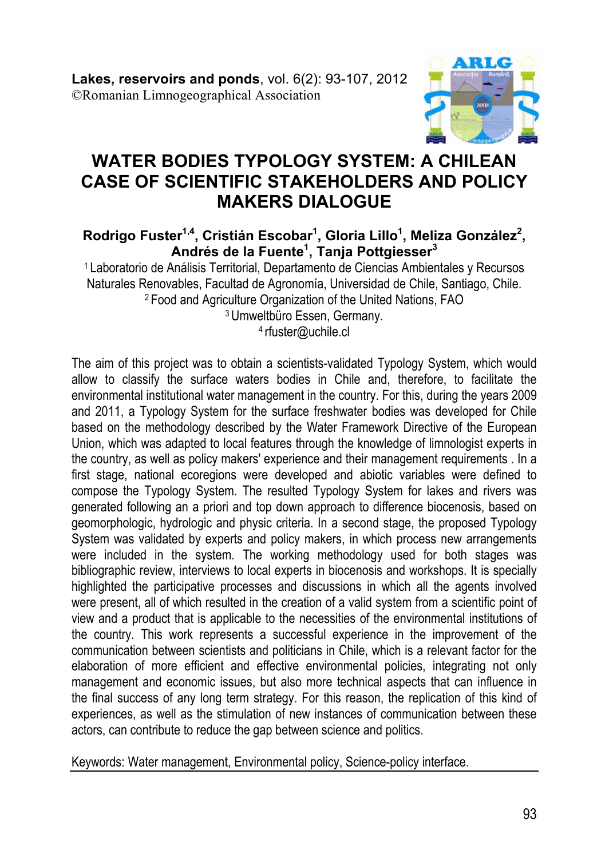

# **WATER BODIES TYPOLOGY SYSTEM: A CHILEAN CASE OF SCIENTIFIC STAKEHOLDERS AND POLICY MAKERS DIALOGUE**

#### **Rodrigo Fuster1,4, Cristián Escobar1 , Gloria Lillo1 , Meliza González<sup>2</sup> , Andrés de la Fuente1 , Tanja Pottgiesser3**

1 Laboratorio de Análisis Territorial, Departamento de Ciencias Ambientales y Recursos Naturales Renovables, Facultad de Agronomía, Universidad de Chile, Santiago, Chile. 2 Food and Agriculture Organization of the United Nations, FAO 3 Umweltbüro Essen, Germany.

4 rfuster@uchile.cl

The aim of this project was to obtain a scientists-validated Typology System, which would allow to classify the surface waters bodies in Chile and, therefore, to facilitate the environmental institutional water management in the country. For this, during the years 2009 and 2011, a Typology System for the surface freshwater bodies was developed for Chile based on the methodology described by the Water Framework Directive of the European Union, which was adapted to local features through the knowledge of limnologist experts in the country, as well as policy makers' experience and their management requirements . In a first stage, national ecoregions were developed and abiotic variables were defined to compose the Typology System. The resulted Typology System for lakes and rivers was generated following an a priori and top down approach to difference biocenosis, based on geomorphologic, hydrologic and physic criteria. In a second stage, the proposed Typology System was validated by experts and policy makers, in which process new arrangements were included in the system. The working methodology used for both stages was bibliographic review, interviews to local experts in biocenosis and workshops. It is specially highlighted the participative processes and discussions in which all the agents involved were present, all of which resulted in the creation of a valid system from a scientific point of view and a product that is applicable to the necessities of the environmental institutions of the country. This work represents a successful experience in the improvement of the communication between scientists and politicians in Chile, which is a relevant factor for the elaboration of more efficient and effective environmental policies, integrating not only management and economic issues, but also more technical aspects that can influence in the final success of any long term strategy. For this reason, the replication of this kind of experiences, as well as the stimulation of new instances of communication between these actors, can contribute to reduce the gap between science and politics.

Keywords: Water management, Environmental policy, Science-policy interface.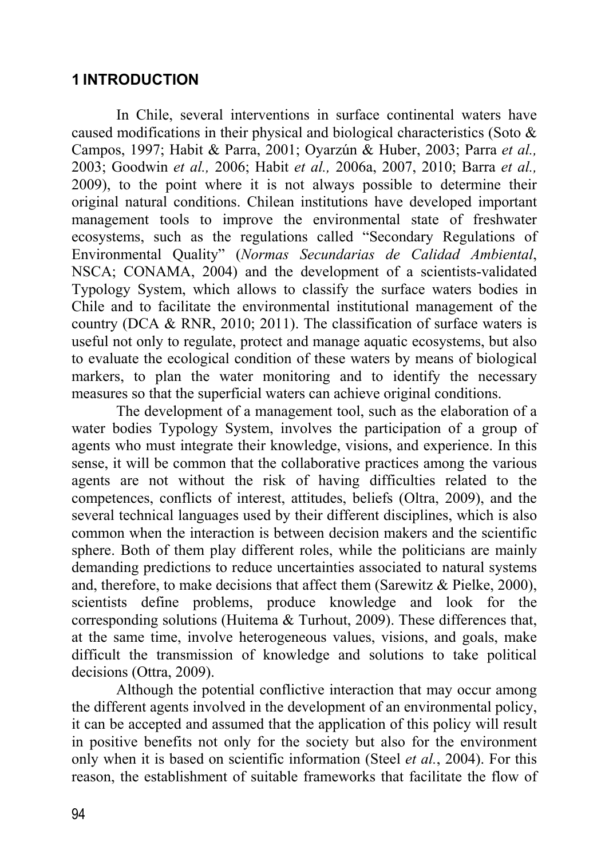### **1 INTRODUCTION**

In Chile, several interventions in surface continental waters have caused modifications in their physical and biological characteristics (Soto & Campos, 1997; Habit & Parra, 2001; Oyarzún & Huber, 2003; Parra *et al.,*  2003; Goodwin *et al.,* 2006; Habit *et al.,* 2006a, 2007, 2010; Barra *et al.,*  2009), to the point where it is not always possible to determine their original natural conditions. Chilean institutions have developed important management tools to improve the environmental state of freshwater ecosystems, such as the regulations called "Secondary Regulations of Environmental Quality" (*Normas Secundarias de Calidad Ambiental*, NSCA; CONAMA, 2004) and the development of a scientists-validated Typology System, which allows to classify the surface waters bodies in Chile and to facilitate the environmental institutional management of the country (DCA & RNR, 2010; 2011). The classification of surface waters is useful not only to regulate, protect and manage aquatic ecosystems, but also to evaluate the ecological condition of these waters by means of biological markers, to plan the water monitoring and to identify the necessary measures so that the superficial waters can achieve original conditions.

The development of a management tool, such as the elaboration of a water bodies Typology System, involves the participation of a group of agents who must integrate their knowledge, visions, and experience. In this sense, it will be common that the collaborative practices among the various agents are not without the risk of having difficulties related to the competences, conflicts of interest, attitudes, beliefs (Oltra, 2009), and the several technical languages used by their different disciplines, which is also common when the interaction is between decision makers and the scientific sphere. Both of them play different roles, while the politicians are mainly demanding predictions to reduce uncertainties associated to natural systems and, therefore, to make decisions that affect them (Sarewitz & Pielke, 2000), scientists define problems, produce knowledge and look for the corresponding solutions (Huitema & Turhout, 2009). These differences that, at the same time, involve heterogeneous values, visions, and goals, make difficult the transmission of knowledge and solutions to take political decisions (Ottra, 2009).

Although the potential conflictive interaction that may occur among the different agents involved in the development of an environmental policy, it can be accepted and assumed that the application of this policy will result in positive benefits not only for the society but also for the environment only when it is based on scientific information (Steel *et al.*, 2004). For this reason, the establishment of suitable frameworks that facilitate the flow of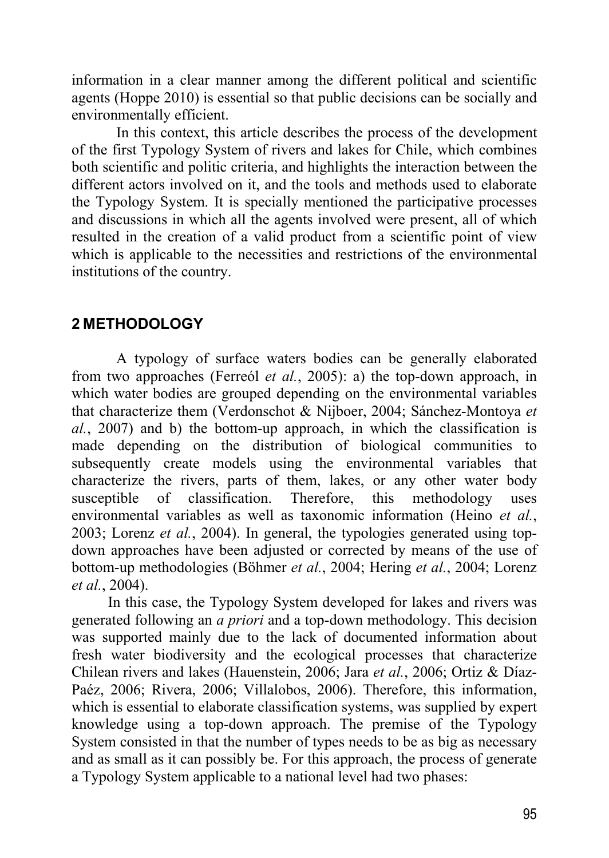information in a clear manner among the different political and scientific agents (Hoppe 2010) is essential so that public decisions can be socially and environmentally efficient.

In this context, this article describes the process of the development of the first Typology System of rivers and lakes for Chile, which combines both scientific and politic criteria, and highlights the interaction between the different actors involved on it, and the tools and methods used to elaborate the Typology System. It is specially mentioned the participative processes and discussions in which all the agents involved were present, all of which resulted in the creation of a valid product from a scientific point of view which is applicable to the necessities and restrictions of the environmental institutions of the country.

### **2 METHODOLOGY**

A typology of surface waters bodies can be generally elaborated from two approaches (Ferreól *et al.*, 2005): a) the top-down approach, in which water bodies are grouped depending on the environmental variables that characterize them (Verdonschot & Nijboer, 2004; Sánchez-Montoya *et al.*, 2007) and b) the bottom-up approach, in which the classification is made depending on the distribution of biological communities to subsequently create models using the environmental variables that characterize the rivers, parts of them, lakes, or any other water body susceptible of classification. Therefore, this methodology uses environmental variables as well as taxonomic information (Heino *et al.*, 2003; Lorenz *et al.*, 2004). In general, the typologies generated using topdown approaches have been adjusted or corrected by means of the use of bottom-up methodologies (Böhmer *et al.*, 2004; Hering *et al.*, 2004; Lorenz *et al.*, 2004).

In this case, the Typology System developed for lakes and rivers was generated following an *a priori* and a top-down methodology. This decision was supported mainly due to the lack of documented information about fresh water biodiversity and the ecological processes that characterize Chilean rivers and lakes (Hauenstein, 2006; Jara *et al.*, 2006; Ortiz & Díaz-Paéz, 2006; Rivera, 2006; Villalobos, 2006). Therefore, this information, which is essential to elaborate classification systems, was supplied by expert knowledge using a top-down approach. The premise of the Typology System consisted in that the number of types needs to be as big as necessary and as small as it can possibly be. For this approach, the process of generate a Typology System applicable to a national level had two phases: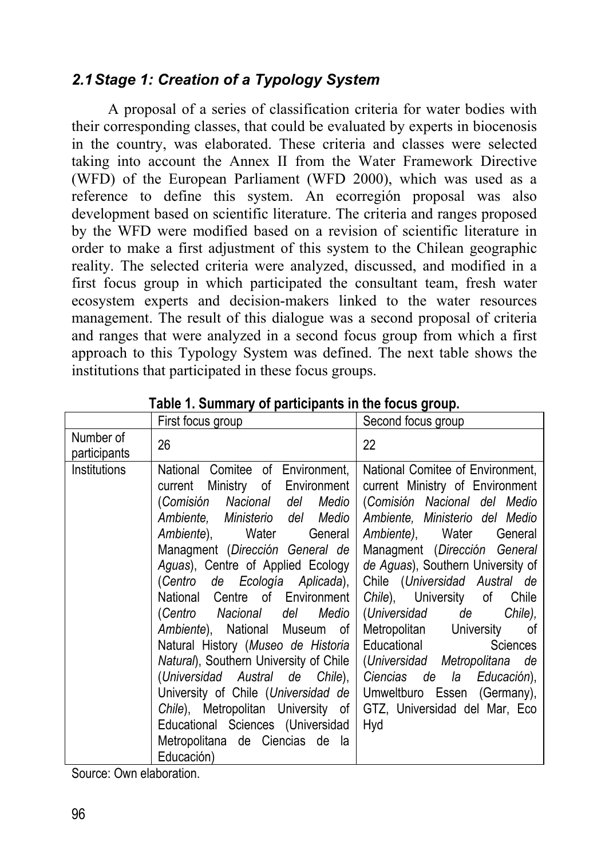# *2.1 Stage 1: Creation of a Typology System*

A proposal of a series of classification criteria for water bodies with their corresponding classes, that could be evaluated by experts in biocenosis in the country, was elaborated. These criteria and classes were selected taking into account the Annex II from the Water Framework Directive (WFD) of the European Parliament (WFD 2000), which was used as a reference to define this system. An ecorregión proposal was also development based on scientific literature. The criteria and ranges proposed by the WFD were modified based on a revision of scientific literature in order to make a first adjustment of this system to the Chilean geographic reality. The selected criteria were analyzed, discussed, and modified in a first focus group in which participated the consultant team, fresh water ecosystem experts and decision-makers linked to the water resources management. The result of this dialogue was a second proposal of criteria and ranges that were analyzed in a second focus group from which a first approach to this Typology System was defined. The next table shows the institutions that participated in these focus groups.

|                           | First focus group                                                                                                                                                                                                                                                                                                                                                                                                                                                                                                                                                                                                                                                  | Second focus group                                                                                                                                                                                                                                                                                                                                                                                                                                                                                                                  |  |
|---------------------------|--------------------------------------------------------------------------------------------------------------------------------------------------------------------------------------------------------------------------------------------------------------------------------------------------------------------------------------------------------------------------------------------------------------------------------------------------------------------------------------------------------------------------------------------------------------------------------------------------------------------------------------------------------------------|-------------------------------------------------------------------------------------------------------------------------------------------------------------------------------------------------------------------------------------------------------------------------------------------------------------------------------------------------------------------------------------------------------------------------------------------------------------------------------------------------------------------------------------|--|
| Number of<br>participants | 26                                                                                                                                                                                                                                                                                                                                                                                                                                                                                                                                                                                                                                                                 | 22                                                                                                                                                                                                                                                                                                                                                                                                                                                                                                                                  |  |
| Institutions              | National Comitee of Environment,<br>current Ministry of Environment<br>(Comisión Nacional del Medio<br>Ambiente, Ministerio del Medio<br>Ambiente), Water General<br>Managment (Dirección General de<br>Aguas), Centre of Applied Ecology<br>(Centro de Ecología Aplicada),<br>National Centre of Environment<br>(Centro Nacional del Medio<br>Ambiente), National Museum of<br>Natural History (Museo de Historia<br>Natural), Southern University of Chile<br>(Universidad Austral de Chile),<br>University of Chile (Universidad de<br>Chile), Metropolitan University of<br>Educational Sciences (Universidad<br>Metropolitana de Ciencias de la<br>Educación) | National Comitee of Environment,<br>current Ministry of Environment<br>(Comisión Nacional del Medio<br>Ambiente, Ministerio del Medio<br>Ambiente), Water General<br>Managment (Dirección General<br>de Aguas), Southern University of<br>Chile (Universidad Austral de<br>Chile), University of Chile<br>(Universidad de<br>Chile),<br>Metropolitan University of<br>Educational<br>Sciences<br>(Universidad Metropolitana de<br>Ciencias de la Educación),<br>Umweltburo Essen (Germany),<br>GTZ, Universidad del Mar, Eco<br>Hyd |  |

**Table 1. Summary of participants in the focus group.** 

Source: Own elaboration.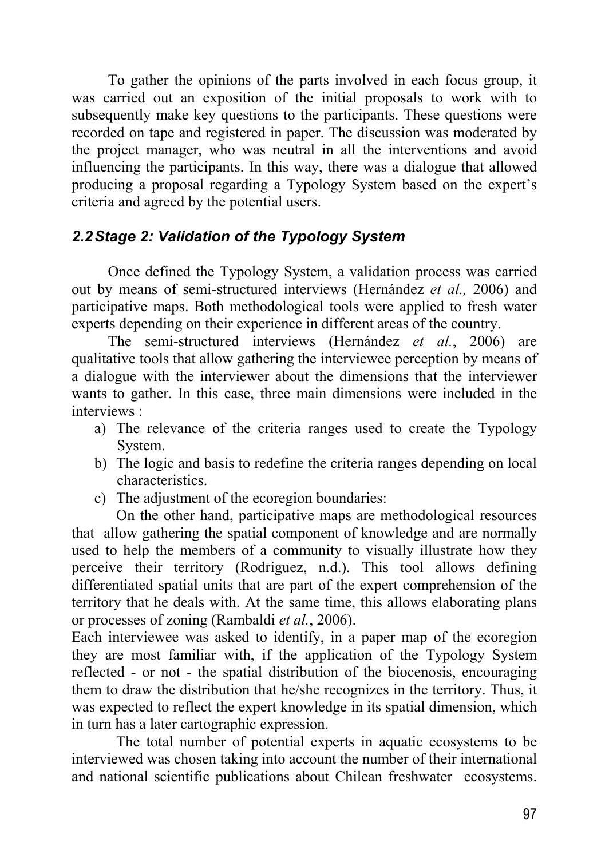To gather the opinions of the parts involved in each focus group, it was carried out an exposition of the initial proposals to work with to subsequently make key questions to the participants. These questions were recorded on tape and registered in paper. The discussion was moderated by the project manager, who was neutral in all the interventions and avoid influencing the participants. In this way, there was a dialogue that allowed producing a proposal regarding a Typology System based on the expert's criteria and agreed by the potential users.

# *2.2 Stage 2: Validation of the Typology System*

Once defined the Typology System, a validation process was carried out by means of semi-structured interviews (Hernández *et al.,* 2006) and participative maps. Both methodological tools were applied to fresh water experts depending on their experience in different areas of the country.

The semi-structured interviews (Hernández *et al.*, 2006) are qualitative tools that allow gathering the interviewee perception by means of a dialogue with the interviewer about the dimensions that the interviewer wants to gather. In this case, three main dimensions were included in the interviews :

- a) The relevance of the criteria ranges used to create the Typology System.
- b) The logic and basis to redefine the criteria ranges depending on local characteristics.
- c) The adjustment of the ecoregion boundaries:

On the other hand, participative maps are methodological resources that allow gathering the spatial component of knowledge and are normally used to help the members of a community to visually illustrate how they perceive their territory (Rodríguez, n.d.). This tool allows defining differentiated spatial units that are part of the expert comprehension of the territory that he deals with. At the same time, this allows elaborating plans or processes of zoning (Rambaldi *et al.*, 2006).

Each interviewee was asked to identify, in a paper map of the ecoregion they are most familiar with, if the application of the Typology System reflected - or not - the spatial distribution of the biocenosis, encouraging them to draw the distribution that he/she recognizes in the territory. Thus, it was expected to reflect the expert knowledge in its spatial dimension, which in turn has a later cartographic expression.

The total number of potential experts in aquatic ecosystems to be interviewed was chosen taking into account the number of their international and national scientific publications about Chilean freshwater ecosystems.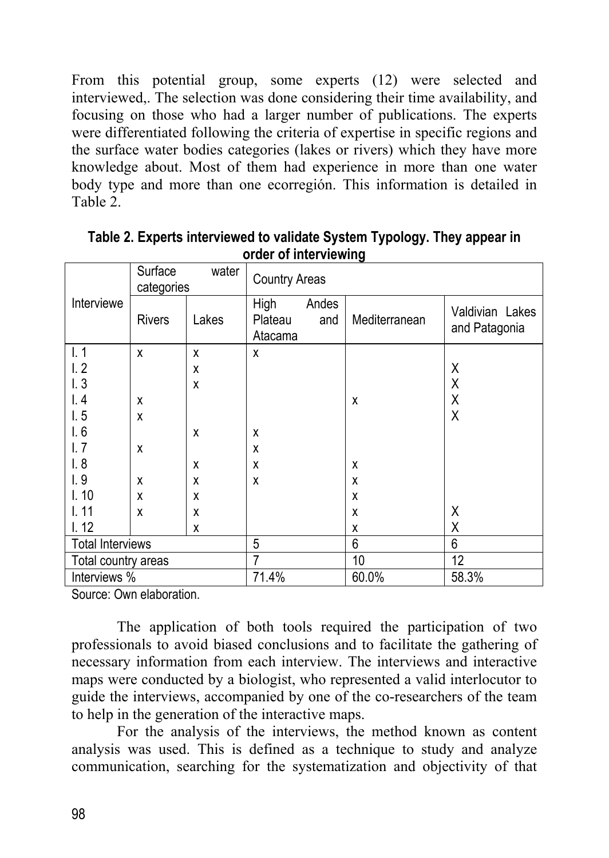From this potential group, some experts (12) were selected and interviewed,. The selection was done considering their time availability, and focusing on those who had a larger number of publications. The experts were differentiated following the criteria of expertise in specific regions and the surface water bodies categories (lakes or rivers) which they have more knowledge about. Most of them had experience in more than one water body type and more than one ecorregión. This information is detailed in Table 2.

|                         | Surface<br>water<br>categories |       | <b>Country Areas</b>       |              |               |                                  |
|-------------------------|--------------------------------|-------|----------------------------|--------------|---------------|----------------------------------|
| Interviewe              | <b>Rivers</b>                  | Lakes | High<br>Plateau<br>Atacama | Andes<br>and | Mediterranean | Valdivian Lakes<br>and Patagonia |
| 1.1                     | X                              | X     | x                          |              |               |                                  |
| 1.2                     |                                | X     |                            |              |               | χ                                |
| 1.3                     |                                | X     |                            |              |               | Χ                                |
| 1.4                     | X                              |       |                            |              | X             | Χ                                |
| 1.5                     | X                              |       |                            |              |               | Χ                                |
| I.6                     |                                | X     | X                          |              |               |                                  |
| l.7                     | X                              |       | X                          |              |               |                                  |
| 1.8                     |                                | X     | χ                          |              | X             |                                  |
| 1.9                     | X                              | X     | X                          |              | X             |                                  |
| 1.10                    | X                              | X     |                            |              | X             |                                  |
| 1.11                    | X                              | X     |                            |              | X             | Χ                                |
| 1.12                    |                                | X     |                            |              | X             | Χ                                |
| <b>Total Interviews</b> |                                | 5     |                            | 6            | 6             |                                  |
| Total country areas     |                                |       | 7                          |              | 10            | 12                               |
| Interviews %            |                                | 71.4% |                            | 60.0%        | 58.3%         |                                  |

**Table 2. Experts interviewed to validate System Typology. They appear in order of interviewing** 

Source: Own elaboration.

The application of both tools required the participation of two professionals to avoid biased conclusions and to facilitate the gathering of necessary information from each interview. The interviews and interactive maps were conducted by a biologist, who represented a valid interlocutor to guide the interviews, accompanied by one of the co-researchers of the team to help in the generation of the interactive maps.

For the analysis of the interviews, the method known as content analysis was used. This is defined as a technique to study and analyze communication, searching for the systematization and objectivity of that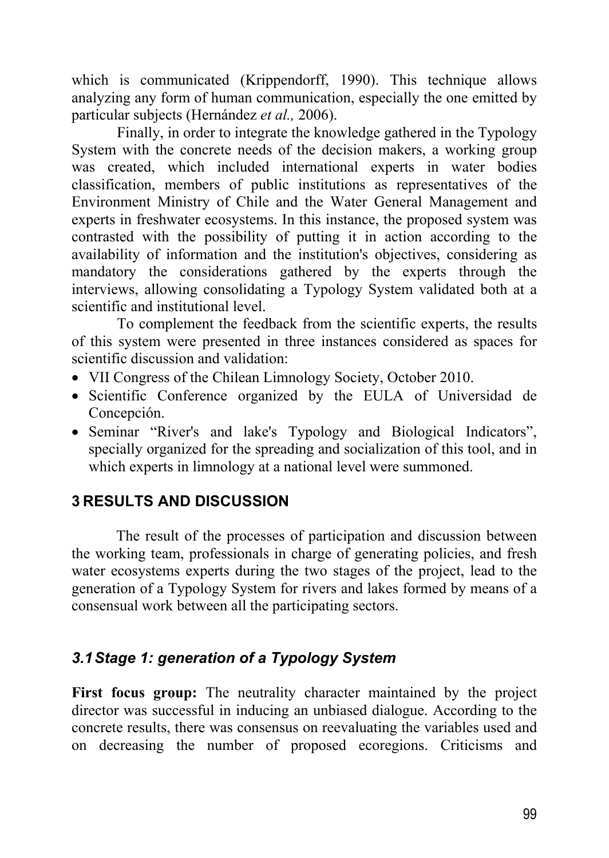which is communicated (Krippendorff, 1990). This technique allows analyzing any form of human communication, especially the one emitted by particular subjects (Hernández *et al.,* 2006).

Finally, in order to integrate the knowledge gathered in the Typology System with the concrete needs of the decision makers, a working group was created, which included international experts in water bodies classification, members of public institutions as representatives of the Environment Ministry of Chile and the Water General Management and experts in freshwater ecosystems. In this instance, the proposed system was contrasted with the possibility of putting it in action according to the availability of information and the institution's objectives, considering as mandatory the considerations gathered by the experts through the interviews, allowing consolidating a Typology System validated both at a scientific and institutional level.

To complement the feedback from the scientific experts, the results of this system were presented in three instances considered as spaces for scientific discussion and validation:

- VII Congress of the Chilean Limnology Society, October 2010.
- Scientific Conference organized by the EULA of Universidad de Concepción.
- Seminar "River's and lake's Typology and Biological Indicators", specially organized for the spreading and socialization of this tool, and in which experts in limnology at a national level were summoned.

# **3 RESULTS AND DISCUSSION**

The result of the processes of participation and discussion between the working team, professionals in charge of generating policies, and fresh water ecosystems experts during the two stages of the project, lead to the generation of a Typology System for rivers and lakes formed by means of a consensual work between all the participating sectors.

# *3.1 Stage 1: generation of a Typology System*

**First focus group:** The neutrality character maintained by the project director was successful in inducing an unbiased dialogue. According to the concrete results, there was consensus on reevaluating the variables used and on decreasing the number of proposed ecoregions. Criticisms and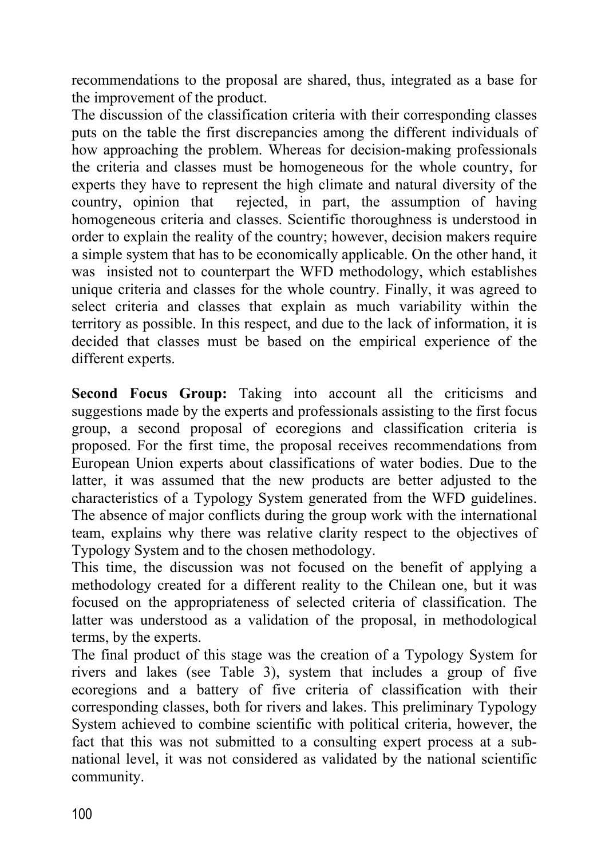recommendations to the proposal are shared, thus, integrated as a base for the improvement of the product.

The discussion of the classification criteria with their corresponding classes puts on the table the first discrepancies among the different individuals of how approaching the problem. Whereas for decision-making professionals the criteria and classes must be homogeneous for the whole country, for experts they have to represent the high climate and natural diversity of the country, opinion that rejected, in part, the assumption of having homogeneous criteria and classes. Scientific thoroughness is understood in order to explain the reality of the country; however, decision makers require a simple system that has to be economically applicable. On the other hand, it was insisted not to counterpart the WFD methodology, which establishes unique criteria and classes for the whole country. Finally, it was agreed to select criteria and classes that explain as much variability within the territory as possible. In this respect, and due to the lack of information, it is decided that classes must be based on the empirical experience of the different experts.

**Second Focus Group:** Taking into account all the criticisms and suggestions made by the experts and professionals assisting to the first focus group, a second proposal of ecoregions and classification criteria is proposed. For the first time, the proposal receives recommendations from European Union experts about classifications of water bodies. Due to the latter, it was assumed that the new products are better adjusted to the characteristics of a Typology System generated from the WFD guidelines. The absence of major conflicts during the group work with the international team, explains why there was relative clarity respect to the objectives of Typology System and to the chosen methodology.

This time, the discussion was not focused on the benefit of applying a methodology created for a different reality to the Chilean one, but it was focused on the appropriateness of selected criteria of classification. The latter was understood as a validation of the proposal, in methodological terms, by the experts.

The final product of this stage was the creation of a Typology System for rivers and lakes (see Table 3), system that includes a group of five ecoregions and a battery of five criteria of classification with their corresponding classes, both for rivers and lakes. This preliminary Typology System achieved to combine scientific with political criteria, however, the fact that this was not submitted to a consulting expert process at a subnational level, it was not considered as validated by the national scientific community.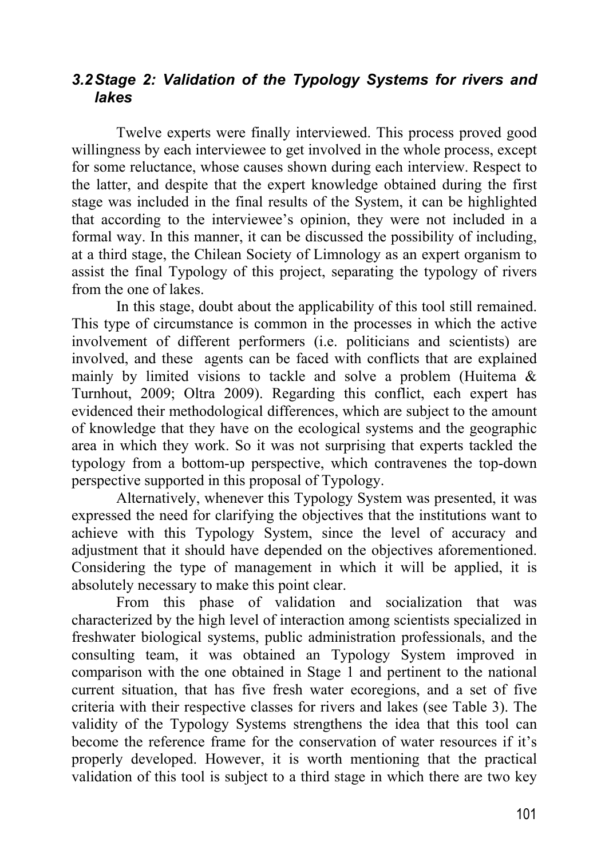#### *3.2 Stage 2: Validation of the Typology Systems for rivers and lakes*

Twelve experts were finally interviewed. This process proved good willingness by each interviewee to get involved in the whole process, except for some reluctance, whose causes shown during each interview. Respect to the latter, and despite that the expert knowledge obtained during the first stage was included in the final results of the System, it can be highlighted that according to the interviewee's opinion, they were not included in a formal way. In this manner, it can be discussed the possibility of including, at a third stage, the Chilean Society of Limnology as an expert organism to assist the final Typology of this project, separating the typology of rivers from the one of lakes.

In this stage, doubt about the applicability of this tool still remained. This type of circumstance is common in the processes in which the active involvement of different performers (i.e. politicians and scientists) are involved, and these agents can be faced with conflicts that are explained mainly by limited visions to tackle and solve a problem (Huitema & Turnhout, 2009; Oltra 2009). Regarding this conflict, each expert has evidenced their methodological differences, which are subject to the amount of knowledge that they have on the ecological systems and the geographic area in which they work. So it was not surprising that experts tackled the typology from a bottom-up perspective, which contravenes the top-down perspective supported in this proposal of Typology.

Alternatively, whenever this Typology System was presented, it was expressed the need for clarifying the objectives that the institutions want to achieve with this Typology System, since the level of accuracy and adjustment that it should have depended on the objectives aforementioned. Considering the type of management in which it will be applied, it is absolutely necessary to make this point clear.

From this phase of validation and socialization that was characterized by the high level of interaction among scientists specialized in freshwater biological systems, public administration professionals, and the consulting team, it was obtained an Typology System improved in comparison with the one obtained in Stage 1 and pertinent to the national current situation, that has five fresh water ecoregions, and a set of five criteria with their respective classes for rivers and lakes (see Table 3). The validity of the Typology Systems strengthens the idea that this tool can become the reference frame for the conservation of water resources if it's properly developed. However, it is worth mentioning that the practical validation of this tool is subject to a third stage in which there are two key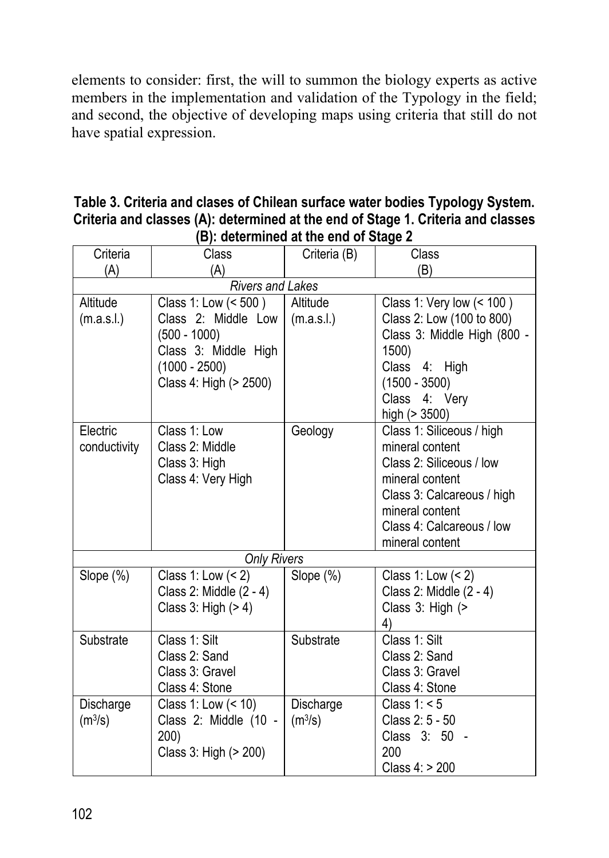elements to consider: first, the will to summon the biology experts as active members in the implementation and validation of the Typology in the field; and second, the objective of developing maps using criteria that still do not have spatial expression.

#### **Table 3. Criteria and clases of Chilean surface water bodies Typology System. Criteria and classes (A): determined at the end of Stage 1. Criteria and classes (B): determined at the end of Stage 2**

| Criteria                | Class                   | Criteria (B)        | Class                       |  |  |  |
|-------------------------|-------------------------|---------------------|-----------------------------|--|--|--|
| (A)                     | (A)                     |                     | (B)                         |  |  |  |
| <b>Rivers and Lakes</b> |                         |                     |                             |  |  |  |
| Altitude                | Class 1: Low (< 500)    | Altitude            | Class 1: Very low (< 100)   |  |  |  |
| (m.a.s.l.)              | Class 2: Middle Low     | (m.a.s.l.)          | Class 2: Low (100 to 800)   |  |  |  |
|                         | $(500 - 1000)$          |                     | Class 3: Middle High (800 - |  |  |  |
|                         | Class 3: Middle High    |                     | 1500)                       |  |  |  |
|                         | $(1000 - 2500)$         |                     | Class 4: High               |  |  |  |
|                         | Class 4: High (> 2500)  |                     | $(1500 - 3500)$             |  |  |  |
|                         |                         |                     | Class 4: Very               |  |  |  |
|                         |                         |                     | high $(> 3500)$             |  |  |  |
| Electric                | Class 1: Low            | Geology             | Class 1: Siliceous / high   |  |  |  |
| conductivity            | Class 2: Middle         |                     | mineral content             |  |  |  |
|                         | Class 3: High           |                     | Class 2: Siliceous / low    |  |  |  |
|                         | Class 4: Very High      |                     | mineral content             |  |  |  |
|                         |                         |                     | Class 3: Calcareous / high  |  |  |  |
|                         |                         |                     | mineral content             |  |  |  |
|                         |                         |                     | Class 4: Calcareous / low   |  |  |  |
|                         |                         |                     | mineral content             |  |  |  |
| <b>Only Rivers</b>      |                         |                     |                             |  |  |  |
| Slope (%)               | Class 1: Low $(< 2)$    | Slope (%)           | Class 1: Low $(< 2)$        |  |  |  |
|                         | Class 2: Middle (2 - 4) |                     | Class 2: Middle (2 - 4)     |  |  |  |
|                         | Class $3:$ High $(>4)$  |                     | Class 3: High (>            |  |  |  |
|                         |                         |                     | 4)                          |  |  |  |
| Substrate               | Class 1: Silt           | Substrate           | Class 1: Silt               |  |  |  |
|                         | Class 2: Sand           |                     | Class 2: Sand               |  |  |  |
|                         | Class 3: Gravel         |                     | Class 3: Gravel             |  |  |  |
|                         | Class 4: Stone          |                     | Class 4: Stone              |  |  |  |
| Discharge               | Class 1: Low (< 10)     | Discharge           | Class $1: 5$                |  |  |  |
| (m <sup>3</sup> /s)     | Class 2: Middle (10 -   | (m <sup>3</sup> /s) | Class 2: 5 - 50             |  |  |  |
|                         | 200)                    |                     | Class 3: 50 -               |  |  |  |
|                         | Class 3: High (> 200)   |                     | 200                         |  |  |  |
|                         |                         |                     | Class 4: > 200              |  |  |  |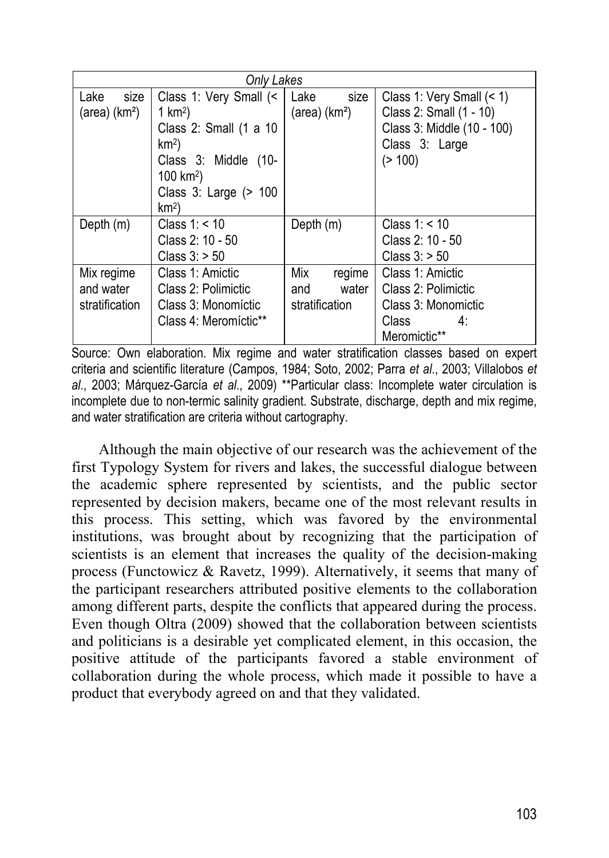| Only Lakes                |                        |                           |                              |  |  |
|---------------------------|------------------------|---------------------------|------------------------------|--|--|
| Lake<br>size              | Class 1: Very Small (< | Lake<br>size              | Class 1: Very Small $($ < 1) |  |  |
| (area) (km <sup>2</sup> ) | 1 $km2$ )              | (area) (km <sup>2</sup> ) | Class 2: Small (1 - 10)      |  |  |
|                           | Class 2: Small (1 a 10 |                           | Class 3: Middle (10 - 100)   |  |  |
|                           | km <sup>2</sup>        |                           | Class 3: Large               |  |  |
|                           | Class 3: Middle (10-   |                           | (> 100)                      |  |  |
|                           | 100 km <sup>2</sup> )  |                           |                              |  |  |
|                           | Class 3: Large (> 100  |                           |                              |  |  |
|                           | km <sup>2</sup>        |                           |                              |  |  |
| Depth $(m)$               | Class $1: < 10$        | Depth (m)                 | Class $1: < 10$              |  |  |
|                           | Class 2: 10 - 50       |                           | Class 2: 10 - 50             |  |  |
|                           | Class $3:$ > 50        |                           | Class $3:$ > 50              |  |  |
| Mix regime                | Class 1: Amictic       | Mix<br>regime             | Class 1: Amictic             |  |  |
| and water                 | Class 2: Polimictic    | water<br>and              | Class 2: Polimictic          |  |  |
| stratification            | Class 3: Monomíctic    | stratification            | Class 3: Monomictic          |  |  |
|                           | Class 4: Meromíctic**  |                           | <b>Class</b><br>4:           |  |  |
|                           |                        |                           | Meromictic**                 |  |  |

Source: Own elaboration. Mix regime and water stratification classes based on expert criteria and scientific literature (Campos, 1984; Soto, 2002; Parra *et al*., 2003; Villalobos *et al*., 2003; Márquez-García *et al*., 2009) \*\*Particular class: Incomplete water circulation is incomplete due to non-termic salinity gradient. Substrate, discharge, depth and mix regime, and water stratification are criteria without cartography.

Although the main objective of our research was the achievement of the first Typology System for rivers and lakes, the successful dialogue between the academic sphere represented by scientists, and the public sector represented by decision makers, became one of the most relevant results in this process. This setting, which was favored by the environmental institutions, was brought about by recognizing that the participation of scientists is an element that increases the quality of the decision-making process (Functowicz & Ravetz, 1999). Alternatively, it seems that many of the participant researchers attributed positive elements to the collaboration among different parts, despite the conflicts that appeared during the process. Even though Oltra (2009) showed that the collaboration between scientists and politicians is a desirable yet complicated element, in this occasion, the positive attitude of the participants favored a stable environment of collaboration during the whole process, which made it possible to have a product that everybody agreed on and that they validated.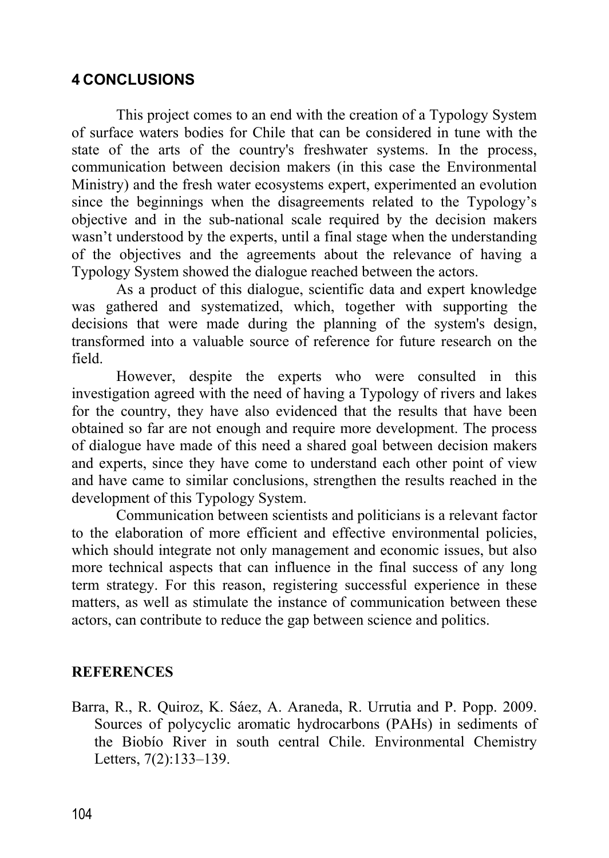### **4 CONCLUSIONS**

This project comes to an end with the creation of a Typology System of surface waters bodies for Chile that can be considered in tune with the state of the arts of the country's freshwater systems. In the process, communication between decision makers (in this case the Environmental Ministry) and the fresh water ecosystems expert, experimented an evolution since the beginnings when the disagreements related to the Typology's objective and in the sub-national scale required by the decision makers wasn't understood by the experts, until a final stage when the understanding of the objectives and the agreements about the relevance of having a Typology System showed the dialogue reached between the actors.

As a product of this dialogue, scientific data and expert knowledge was gathered and systematized, which, together with supporting the decisions that were made during the planning of the system's design, transformed into a valuable source of reference for future research on the field.

However, despite the experts who were consulted in this investigation agreed with the need of having a Typology of rivers and lakes for the country, they have also evidenced that the results that have been obtained so far are not enough and require more development. The process of dialogue have made of this need a shared goal between decision makers and experts, since they have come to understand each other point of view and have came to similar conclusions, strengthen the results reached in the development of this Typology System.

Communication between scientists and politicians is a relevant factor to the elaboration of more efficient and effective environmental policies, which should integrate not only management and economic issues, but also more technical aspects that can influence in the final success of any long term strategy. For this reason, registering successful experience in these matters, as well as stimulate the instance of communication between these actors, can contribute to reduce the gap between science and politics.

#### **REFERENCES**

Barra, R., R. Quiroz, K. Sáez, A. Araneda, R. Urrutia and P. Popp. 2009. Sources of polycyclic aromatic hydrocarbons (PAHs) in sediments of the Biobío River in south central Chile. Environmental Chemistry Letters, 7(2):133–139.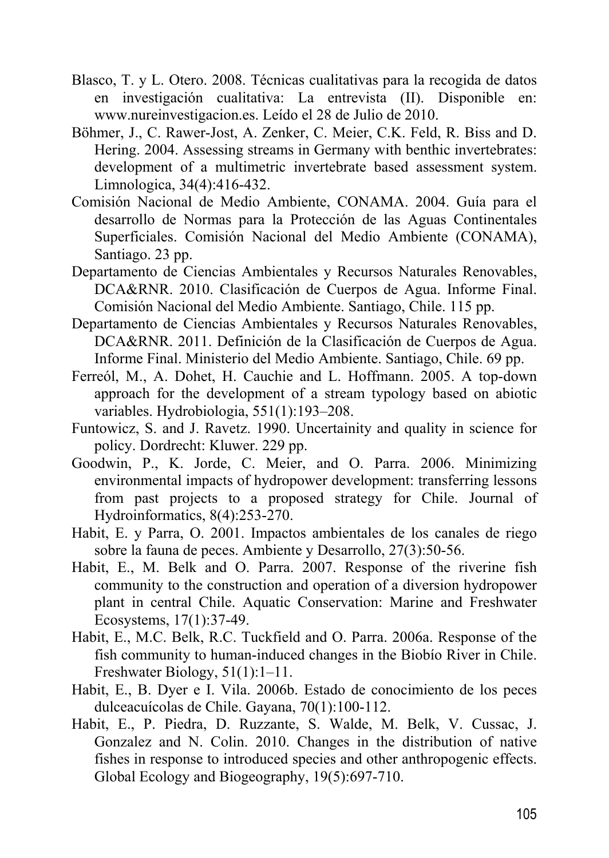- Blasco, T. y L. Otero. 2008. Técnicas cualitativas para la recogida de datos en investigación cualitativa: La entrevista (II). Disponible en: www.nureinvestigacion.es. Leído el 28 de Julio de 2010.
- Böhmer, J., C. Rawer-Jost, A. Zenker, C. Meier, C.K. Feld, R. Biss and D. Hering. 2004. Assessing streams in Germany with benthic invertebrates: development of a multimetric invertebrate based assessment system. Limnologica, 34(4):416-432.
- Comisión Nacional de Medio Ambiente, CONAMA. 2004. Guía para el desarrollo de Normas para la Protección de las Aguas Continentales Superficiales. Comisión Nacional del Medio Ambiente (CONAMA), Santiago. 23 pp.
- Departamento de Ciencias Ambientales y Recursos Naturales Renovables, DCA&RNR. 2010. Clasificación de Cuerpos de Agua. Informe Final. Comisión Nacional del Medio Ambiente. Santiago, Chile. 115 pp.
- Departamento de Ciencias Ambientales y Recursos Naturales Renovables, DCA&RNR. 2011. Definición de la Clasificación de Cuerpos de Agua. Informe Final. Ministerio del Medio Ambiente. Santiago, Chile. 69 pp.
- Ferreól, M., A. Dohet, H. Cauchie and L. Hoffmann. 2005. A top-down approach for the development of a stream typology based on abiotic variables. Hydrobiologia, 551(1):193–208.
- Funtowicz, S. and J. Ravetz. 1990. Uncertainity and quality in science for policy. Dordrecht: Kluwer. 229 pp.
- Goodwin, P., K. Jorde, C. Meier, and O. Parra. 2006. Minimizing environmental impacts of hydropower development: transferring lessons from past projects to a proposed strategy for Chile. Journal of Hydroinformatics, 8(4):253-270.
- Habit, E. y Parra, O. 2001. Impactos ambientales de los canales de riego sobre la fauna de peces. Ambiente y Desarrollo, 27(3):50-56.
- Habit, E., M. Belk and O. Parra. 2007. Response of the riverine fish community to the construction and operation of a diversion hydropower plant in central Chile. Aquatic Conservation: Marine and Freshwater Ecosystems, 17(1):37-49.
- Habit, E., M.C. Belk, R.C. Tuckfield and O. Parra. 2006a. Response of the fish community to human-induced changes in the Biobío River in Chile. Freshwater Biology, 51(1):1–11.
- Habit, E., B. Dyer e I. Vila. 2006b. Estado de conocimiento de los peces dulceacuícolas de Chile. Gayana, 70(1):100-112.
- Habit, E., P. Piedra, D. Ruzzante, S. Walde, M. Belk, V. Cussac, J. Gonzalez and N. Colin. 2010. Changes in the distribution of native fishes in response to introduced species and other anthropogenic effects. Global Ecology and Biogeography, 19(5):697-710.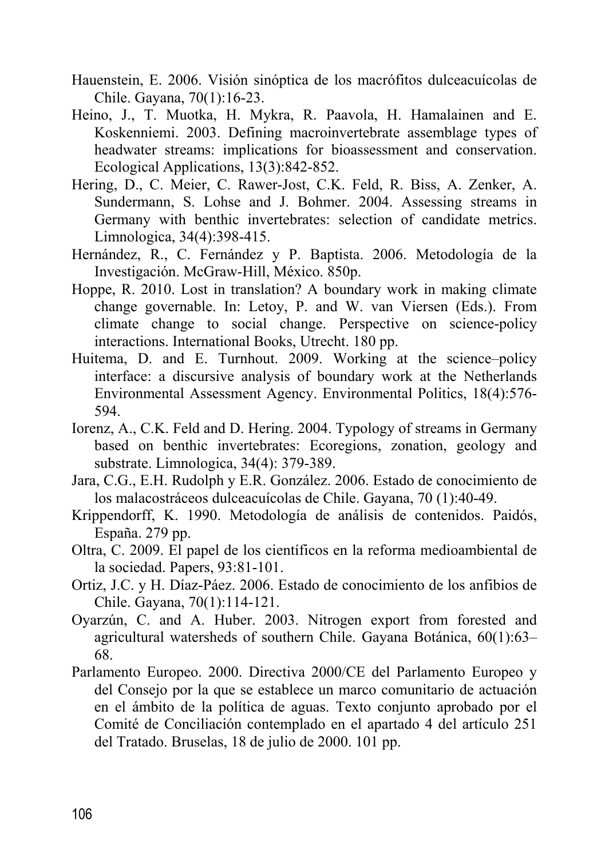- Hauenstein, E. 2006. Visión sinóptica de los macrófitos dulceacuícolas de Chile. Gayana, 70(1):16-23.
- Heino, J., T. Muotka, H. Mykra, R. Paavola, H. Hamalainen and E. Koskenniemi. 2003. Defining macroinvertebrate assemblage types of headwater streams: implications for bioassessment and conservation. Ecological Applications, 13(3):842-852.
- Hering, D., C. Meier, C. Rawer-Jost, C.K. Feld, R. Biss, A. Zenker, A. Sundermann, S. Lohse and J. Bohmer. 2004. Assessing streams in Germany with benthic invertebrates: selection of candidate metrics. Limnologica, 34(4):398-415.
- Hernández, R., C. Fernández y P. Baptista. 2006. Metodología de la Investigación. McGraw-Hill, México. 850p.
- Hoppe, R. 2010. Lost in translation? A boundary work in making climate change governable. In: Letoy, P. and W. van Viersen (Eds.). From climate change to social change. Perspective on science-policy interactions. International Books, Utrecht. 180 pp.
- Huitema, D. and E. Turnhout. 2009. Working at the science–policy interface: a discursive analysis of boundary work at the Netherlands Environmental Assessment Agency. Environmental Politics, 18(4):576- 594.
- Iorenz, A., C.K. Feld and D. Hering. 2004. Typology of streams in Germany based on benthic invertebrates: Ecoregions, zonation, geology and substrate. Limnologica, 34(4): 379-389.
- Jara, C.G., E.H. Rudolph y E.R. González. 2006. Estado de conocimiento de los malacostráceos dulceacuícolas de Chile. Gayana, 70 (1):40-49.
- Krippendorff, K. 1990. Metodología de análisis de contenidos. Paidós, España. 279 pp.
- Oltra, C. 2009. El papel de los científicos en la reforma medioambiental de la sociedad. Papers, 93:81-101.
- Ortiz, J.C. y H. Díaz-Páez. 2006. Estado de conocimiento de los anfibios de Chile. Gayana, 70(1):114-121.
- Oyarzún, C. and A. Huber. 2003. Nitrogen export from forested and agricultural watersheds of southern Chile. Gayana Botánica, 60(1):63– 68.
- Parlamento Europeo. 2000. Directiva 2000/CE del Parlamento Europeo y del Consejo por la que se establece un marco comunitario de actuación en el ámbito de la política de aguas. Texto conjunto aprobado por el Comité de Conciliación contemplado en el apartado 4 del artículo 251 del Tratado. Bruselas, 18 de julio de 2000. 101 pp.